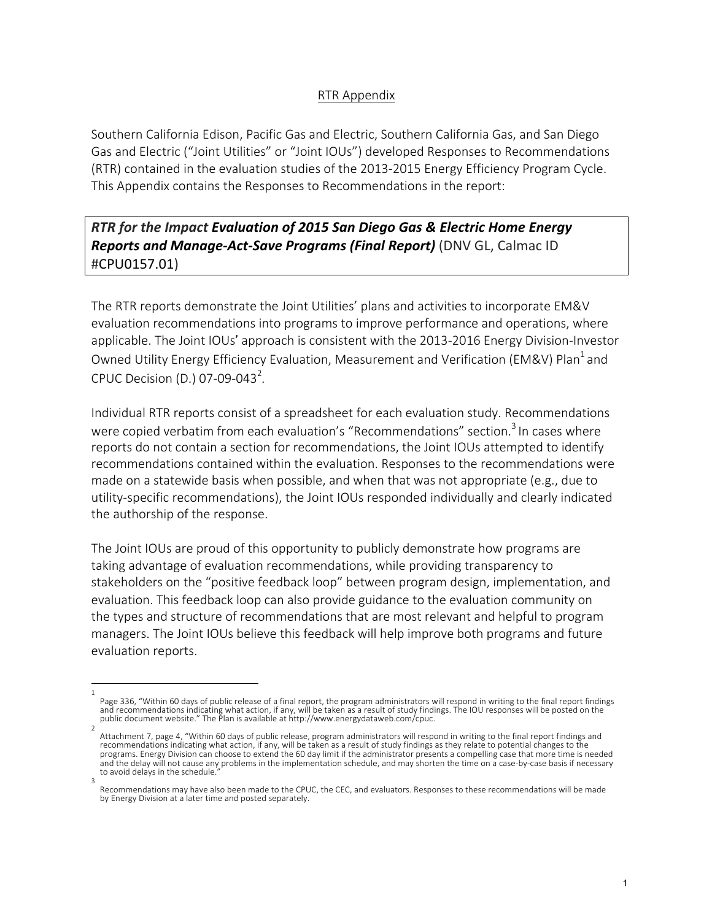## RTR Appendix

Southern California Edison, Pacific Gas and Electric, Southern California Gas, and San Diego Gas and Electric ("Joint Utilities" or "Joint IOUs") developed Responses to Recommendations (RTR) contained in the evaluation studies of the 2013-2015 Energy Efficiency Program Cycle. This Appendix contains the Responses to Recommendations in the report:

*RTR for the Impact Evaluation of 2015 San Diego Gas & Electric Home Energy*  **Reports and Manage-Act-Save Programs (Final Report)** (DNV GL, Calmac ID #CPU0157.01)

The RTR reports demonstrate the Joint Utilities' plans and activities to incorporate EM&V evaluation recommendations into programs to improve performance and operations, where applicable. The Joint IOUs' approach is consistent with the 2013-2016 Energy Division-Investor Owned Utility Energy Efficiency Evaluation, Measurement and Verification (EM&V) Plan<sup>1</sup> and CPUC Decision (D.) 07-09-043<sup>2</sup>.

Individual RTR reports consist of a spreadsheet for each evaluation study. Recommendations were copied verbatim from each evaluation's "Recommendations" section.<sup>3</sup> In cases where reports do not contain a section for recommendations, the Joint IOUs attempted to identify recommendations contained within the evaluation. Responses to the recommendations were made on a statewide basis when possible, and when that was not appropriate (e.g., due to utility-specific recommendations), the Joint IOUs responded individually and clearly indicated the authorship of the response.

The Joint IOUs are proud of this opportunity to publicly demonstrate how programs are taking advantage of evaluation recommendations, while providing transparency to stakeholders on the "positive feedback loop" between program design, implementation, and evaluation. This feedback loop can also provide guidance to the evaluation community on the types and structure of recommendations that are most relevant and helpful to program managers. The Joint IOUs believe this feedback will help improve both programs and future evaluation reports.

<sup>1</sup>  Page 336, "Within 60 days of public release of a final report, the program administrators will respond in writing to the final report findings and recommendations indicating what action, if any, will be taken as a result of study findings. The IOU responses will be posted on the<br>public document website." The Plan is available at http://www.energydataweb.com/cpuc.

<sup>2</sup>  Attachment 7, page 4, "Within 60 days of public release, program administrators will respond in writing to the final report findings and recommendations indicating what action, if any, will be taken as a result of study findings as they relate to potential changes to the programs. Energy Division can choose to extend the 60 day limit if the administrator presents a compelling case that more time is needed and the delay will not cause any problems in the implementation schedule, and may shorten the time on a case-by-case basis if necessary to avoid delays in the schedule.

<sup>3</sup>  Recommendations may have also been made to the CPUC, the CEC, and evaluators. Responses to these recommendations will be made by Energy Division at a later time and posted separately.